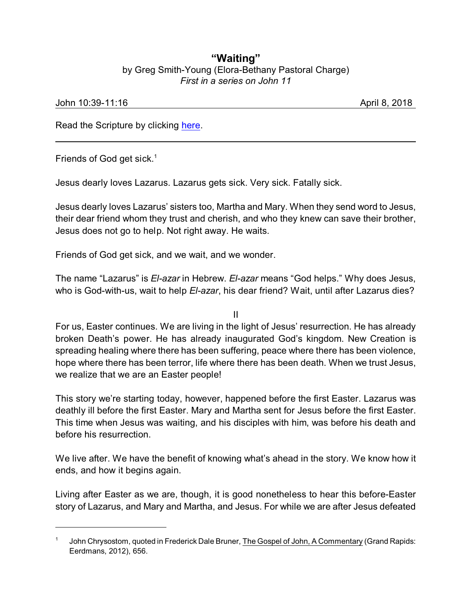## **"Waiting"** by Greg Smith-Young (Elora-Bethany Pastoral Charge) *First in a series on John 11*

## John 10:39-11:16 April 8, 2018

Read the Scripture by clicking [here](https://www.biblegateway.com/passage/?search=John+10%3A39-11%3A16&version=CEB).

Friends of God get sick.<sup>1</sup>

Jesus dearly loves Lazarus. Lazarus gets sick. Very sick. Fatally sick.

Jesus dearly loves Lazarus' sisters too, Martha and Mary. When they send word to Jesus, their dear friend whom they trust and cherish, and who they knew can save their brother, Jesus does not go to help. Not right away. He waits.

Friends of God get sick, and we wait, and we wonder.

The name "Lazarus" is *El-azar* in Hebrew. *El-azar* means "God helps." Why does Jesus, who is God-with-us, wait to help *El-azar*, his dear friend? Wait, until after Lazarus dies?

II

For us, Easter continues. We are living in the light of Jesus' resurrection. He has already broken Death's power. He has already inaugurated God's kingdom. New Creation is spreading healing where there has been suffering, peace where there has been violence, hope where there has been terror, life where there has been death. When we trust Jesus, we realize that we are an Easter people!

This story we're starting today, however, happened before the first Easter. Lazarus was deathly ill before the first Easter. Mary and Martha sent for Jesus before the first Easter. This time when Jesus was waiting, and his disciples with him, was before his death and before his resurrection.

We live after. We have the benefit of knowing what's ahead in the story. We know how it ends, and how it begins again.

Living after Easter as we are, though, it is good nonetheless to hear this before-Easter story of Lazarus, and Mary and Martha, and Jesus. For while we are after Jesus defeated

<sup>1</sup> John Chrysostom, quoted in Frederick Dale Bruner, The Gospel of John, A Commentary (Grand Rapids: Eerdmans, 2012), 656.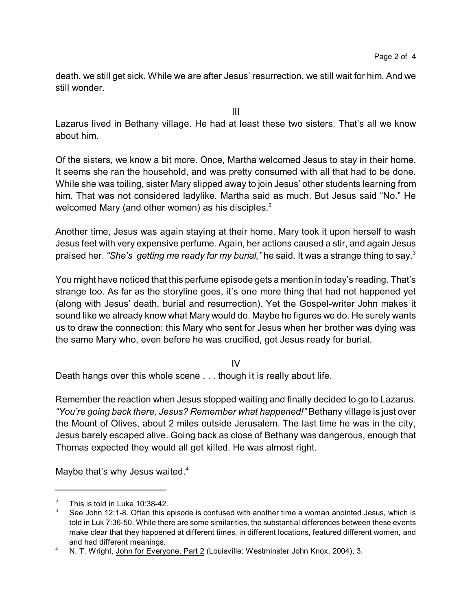death, we still get sick. While we are after Jesus' resurrection, we still wait for him. And we still wonder.

III

Lazarus lived in Bethany village. He had at least these two sisters. That's all we know about him.

Of the sisters, we know a bit more. Once, Martha welcomed Jesus to stay in their home. It seems she ran the household, and was pretty consumed with all that had to be done. While she was toiling, sister Mary slipped away to join Jesus' other students learning from him. That was not considered ladylike. Martha said as much. But Jesus said "No." He welcomed Mary (and other women) as his disciples.<sup>2</sup>

Another time, Jesus was again staying at their home. Mary took it upon herself to wash Jesus feet with very expensive perfume. Again, her actions caused a stir, and again Jesus praised her. *"She's getting me ready for my burial,"* he said. It was a strange thing to say.<sup>3</sup>

You might have noticed that this perfume episode gets a mention in today's reading. That's strange too. As far as the storyline goes, it's one more thing that had not happened yet (along with Jesus' death, burial and resurrection). Yet the Gospel-writer John makes it sound like we already know what Mary would do. Maybe he figures we do. He surely wants us to draw the connection: this Mary who sent for Jesus when her brother was dying was the same Mary who, even before he was crucified, got Jesus ready for burial.

IV

Death hangs over this whole scene . . . though it is really about life.

Remember the reaction when Jesus stopped waiting and finally decided to go to Lazarus. *"You're going back there, Jesus? Remember what happened!"* Bethany village is just over the Mount of Olives, about 2 miles outside Jerusalem. The last time he was in the city, Jesus barely escaped alive. Going back as close of Bethany was dangerous, enough that Thomas expected they would all get killed. He was almost right.

Maybe that's why Jesus waited.<sup>4</sup>

<sup>&</sup>lt;sup>2</sup> This is told in Luke 10:38-42.

See John 12:1-8. Often this episode is confused with another time a woman anointed Jesus, which is told in Luk 7:36-50. While there are some similarities, the substantial differences between these events make clear that they happened at different times, in different locations, featured different women, and and had different meanings.

<sup>&</sup>lt;sup>4</sup> N. T. Wright, John for Everyone, Part 2 (Louisville: Westminster John Knox, 2004), 3.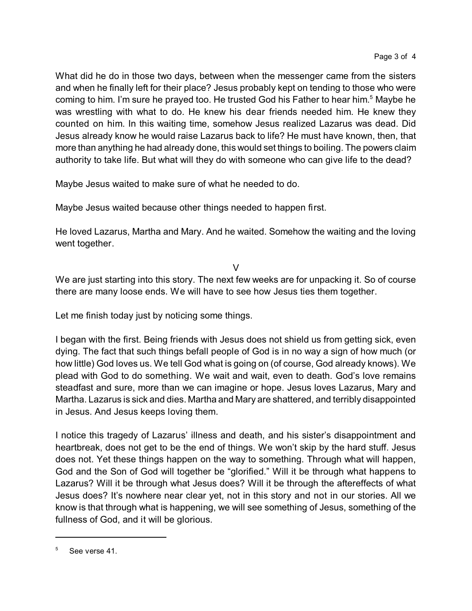What did he do in those two days, between when the messenger came from the sisters and when he finally left for their place? Jesus probably kept on tending to those who were coming to him. I'm sure he prayed too. He trusted God his Father to hear him.<sup>5</sup> Maybe he was wrestling with what to do. He knew his dear friends needed him. He knew they counted on him. In this waiting time, somehow Jesus realized Lazarus was dead. Did Jesus already know he would raise Lazarus back to life? He must have known, then, that more than anything he had already done, this would set things to boiling. The powers claim authority to take life. But what will they do with someone who can give life to the dead?

Maybe Jesus waited to make sure of what he needed to do.

Maybe Jesus waited because other things needed to happen first.

He loved Lazarus, Martha and Mary. And he waited. Somehow the waiting and the loving went together.

V

We are just starting into this story. The next few weeks are for unpacking it. So of course there are many loose ends. We will have to see how Jesus ties them together.

Let me finish today just by noticing some things.

I began with the first. Being friends with Jesus does not shield us from getting sick, even dying. The fact that such things befall people of God is in no way a sign of how much (or how little) God loves us. We tell God what is going on (of course, God already knows). We plead with God to do something. We wait and wait, even to death. God's love remains steadfast and sure, more than we can imagine or hope. Jesus loves Lazarus, Mary and Martha. Lazarus is sick and dies. Martha and Mary are shattered, and terribly disappointed in Jesus. And Jesus keeps loving them.

I notice this tragedy of Lazarus' illness and death, and his sister's disappointment and heartbreak, does not get to be the end of things. We won't skip by the hard stuff. Jesus does not. Yet these things happen on the way to something. Through what will happen, God and the Son of God will together be "glorified." Will it be through what happens to Lazarus? Will it be through what Jesus does? Will it be through the aftereffects of what Jesus does? It's nowhere near clear yet, not in this story and not in our stories. All we know is that through what is happening, we will see something of Jesus, something of the fullness of God, and it will be glorious.

 $5$  See verse 41.